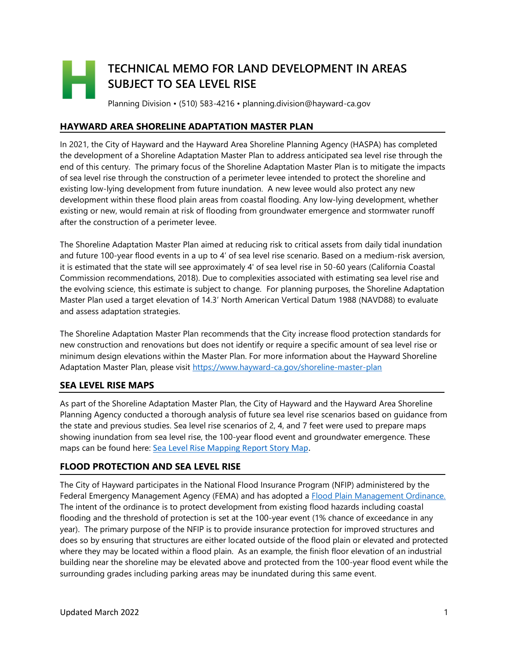# **TECHNICAL MEMO FOR LAND DEVELOPMENT IN AREAS SUBJECT TO SEA LEVEL RISE**

Planning Division • (510) 583-4216 • planning.division@hayward-ca.gov

## **HAYWARD AREA SHORELINE ADAPTATION MASTER PLAN**

In 2021, the City of Hayward and the Hayward Area Shoreline Planning Agency (HASPA) has completed the development of a Shoreline Adaptation Master Plan to address anticipated sea level rise through the end of this century. The primary focus of the Shoreline Adaptation Master Plan is to mitigate the impacts of sea level rise through the construction of a perimeter levee intended to protect the shoreline and existing low-lying development from future inundation. A new levee would also protect any new development within these flood plain areas from coastal flooding. Any low-lying development, whether existing or new, would remain at risk of flooding from groundwater emergence and stormwater runoff after the construction of a perimeter levee.

The Shoreline Adaptation Master Plan aimed at reducing risk to critical assets from daily tidal inundation and future 100-year flood events in a up to 4' of sea level rise scenario. Based on a medium-risk aversion, it is estimated that the state will see approximately 4' of sea level rise in 50-60 years (California Coastal Commission recommendations, 2018). Due to complexities associated with estimating sea level rise and the evolving science, this estimate is subject to change. For planning purposes, the Shoreline Adaptation Master Plan used a target elevation of 14.3' North American Vertical Datum 1988 (NAVD88) to evaluate and assess adaptation strategies.

The Shoreline Adaptation Master Plan recommends that the City increase flood protection standards for new construction and renovations but does not identify or require a specific amount of sea level rise or minimum design elevations within the Master Plan. For more information about the Hayward Shoreline Adaptation Master Plan, please visit<https://www.hayward-ca.gov/shoreline-master-plan>

#### **SEA LEVEL RISE MAPS**

As part of the Shoreline Adaptation Master Plan, the City of Hayward and the Hayward Area Shoreline Planning Agency conducted a thorough analysis of future sea level rise scenarios based on guidance from the state and previous studies. Sea level rise scenarios of 2, 4, and 7 feet were used to prepare maps showing inundation from sea level rise, the 100-year flood event and groundwater emergence. These maps can be found here: [Sea Level Rise Mapping Report Story Map.](https://maps.hayward-ca.gov/portal/apps/Cascade/index.html?appid=b44a0b2b72964d50afeb808852d930c3)

#### **FLOOD PROTECTION AND SEA LEVEL RISE**

The City of Hayward participates in the National Flood Insurance Program (NFIP) administered by the Federal Emergency Management Agency (FEMA) and has adopted a [Flood Plain Management Ordinance.](https://library.municode.com/ca/hayward/codes/municipal_code?nodeId=HAYWARD_MUNICIPAL_CODE_CH9BURE_ART4FLPLMA) The intent of the ordinance is to protect development from existing flood hazards including coastal flooding and the threshold of protection is set at the 100-year event (1% chance of exceedance in any year). The primary purpose of the NFIP is to provide insurance protection for improved structures and does so by ensuring that structures are either located outside of the flood plain or elevated and protected where they may be located within a flood plain. As an example, the finish floor elevation of an industrial building near the shoreline may be elevated above and protected from the 100-year flood event while the surrounding grades including parking areas may be inundated during this same event.